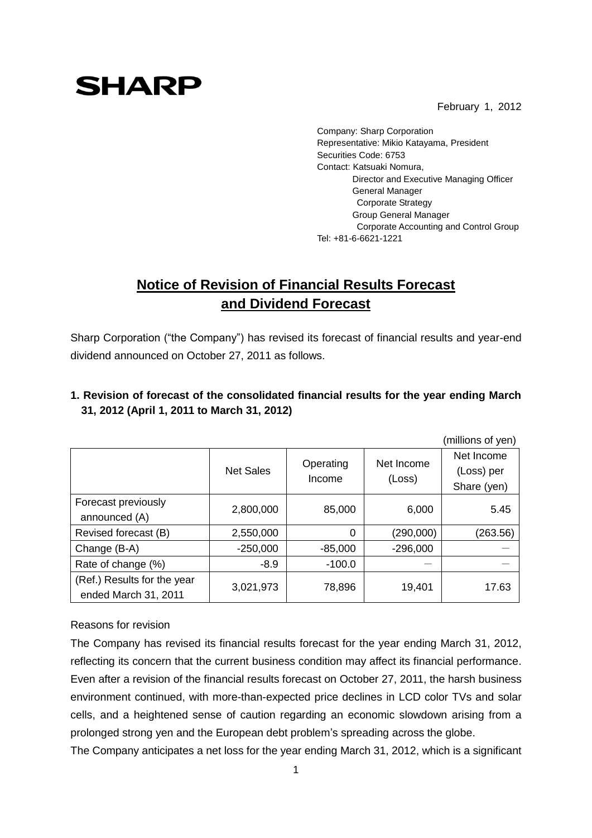February 1, 2012

# **SHARP**

Company: Sharp Corporation Representative: Mikio Katayama, President Securities Code: 6753 Contact: Katsuaki Nomura, Director and Executive Managing Officer General Manager Corporate Strategy Group General Manager Corporate Accounting and Control Group Tel: +81-6-6621-1221

## **Notice of Revision of Financial Results Forecast and Dividend Forecast**

Sharp Corporation ("the Company") has revised its forecast of financial results and year-end dividend announced on October 27, 2011 as follows.

|                                                     |                  |                     |                      | (millions of yen)                       |
|-----------------------------------------------------|------------------|---------------------|----------------------|-----------------------------------------|
|                                                     | <b>Net Sales</b> | Operating<br>Income | Net Income<br>(Loss) | Net Income<br>(Loss) per<br>Share (yen) |
| Forecast previously<br>announced (A)                | 2,800,000        | 85,000              | 6,000                | 5.45                                    |
| Revised forecast (B)                                | 2,550,000        | 0                   | (290,000)            | (263.56)                                |
| Change (B-A)                                        | $-250,000$       | $-85,000$           | $-296,000$           |                                         |
| Rate of change (%)                                  | $-8.9$           | $-100.0$            |                      |                                         |
| (Ref.) Results for the year<br>ended March 31, 2011 | 3,021,973        | 78,896              | 19,401               | 17.63                                   |

### **1. Revision of forecast of the consolidated financial results for the year ending March 31, 2012 (April 1, 2011 to March 31, 2012)**

#### Reasons for revision

The Company has revised its financial results forecast for the year ending March 31, 2012, reflecting its concern that the current business condition may affect its financial performance. Even after a revision of the financial results forecast on October 27, 2011, the harsh business environment continued, with more-than-expected price declines in LCD color TVs and solar cells, and a heightened sense of caution regarding an economic slowdown arising from a prolonged strong yen and the European debt problem's spreading across the globe.

The Company anticipates a net loss for the year ending March 31, 2012, which is a significant